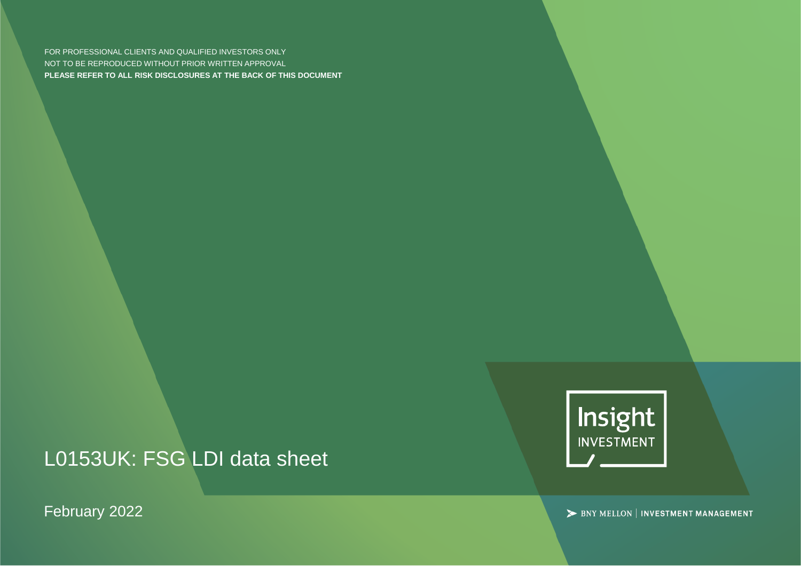FOR PROFESSIONAL CLIENTS AND QUALIFIED INVESTORS ONLY NOT TO BE REPRODUCED WITHOUT PRIOR WRITTEN APPROVAL **PLEASE REFER TO ALL RISK DISCLOSURES AT THE BACK OF THIS DOCUMENT**

L0153UK: FSG LDI data sheet

February 2022



> BNY MELLON | INVESTMENT MANAGEMENT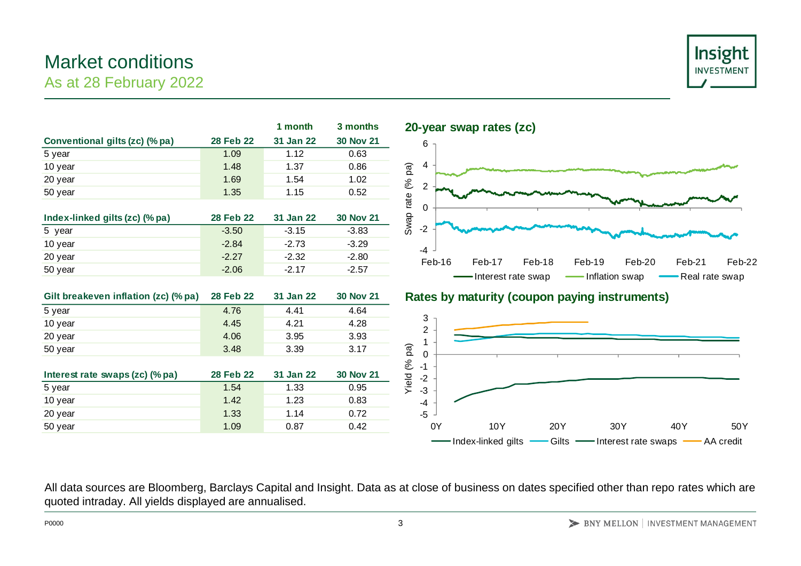#### **Conventional gilts (zc) (% pa) 28 Feb 22 31 Jan 22 30 Nov 21** 5 year 1.09 1.12 0.63

As at 28 February 2022

Market conditions





|                                                                                                   |                  | 1 month   | 3 months         | 20-year swap rates (zc)            |
|---------------------------------------------------------------------------------------------------|------------------|-----------|------------------|------------------------------------|
| Conventional gilts (zc) (% pa)                                                                    | <b>28 Feb 22</b> | 31 Jan 22 | <b>30 Nov 21</b> | 6                                  |
| 5 year                                                                                            | 1.09             | 1.12      | 0.63             |                                    |
| 10 year                                                                                           | 1.48             | 1.37      | 0.86             | 4                                  |
| 20 year                                                                                           | 1.69             | 1.54      | 1.02             |                                    |
| 50 year                                                                                           | 1.35             | 1.15      | 0.52             | Swap rate (% pa)<br>$\overline{2}$ |
|                                                                                                   |                  |           |                  | $\mathbf 0$                        |
| Index-linked gilts (zc) (% pa)                                                                    | 28 Feb 22        | 31 Jan 22 | <b>30 Nov 21</b> |                                    |
| 5 year                                                                                            | $-3.50$          | $-3.15$   | $-3.83$          | $-2$                               |
| 10 year                                                                                           | $-2.84$          | $-2.73$   | $-3.29$          | $-4$                               |
| 20 year                                                                                           | $-2.27$          | $-2.32$   | $-2.80$          | Feb-16<br>Feb-17<br>Fe             |
| 50 year                                                                                           | $-2.06$          | $-2.17$   | $-2.57$          | Interest rate sy                   |
|                                                                                                   |                  |           |                  |                                    |
| Gilt breakeven inflation (zc) (% pa)                                                              | 28 Feb 22        | 31 Jan 22 | <b>30 Nov 21</b> | Rates by maturity (coup            |
| 5 year                                                                                            | 4.76             | 4.41      | 4.64             |                                    |
| 10 year                                                                                           | 4.45             | 4.21      | 4.28             | 3<br>$\overline{2}$                |
| 20 year                                                                                           | 4.06             | 3.95      | 3.93             | 1                                  |
| 50 year                                                                                           | 3.48             | 3.39      | 3.17             | $\pmb{0}$                          |
|                                                                                                   |                  |           |                  | Yield (% pa)<br>$-1$               |
| Interest rate swaps (zc) (% pa)                                                                   | <b>28 Feb 22</b> | 31 Jan 22 | <b>30 Nov 21</b> | $-2$                               |
| 5 year                                                                                            | 1.54             | 1.33      | 0.95             | $-3$                               |
| 10 year                                                                                           | 1.42             | 1.23      | 0.83             | $-4$                               |
| 20 year                                                                                           | 1.33             | 1.14      | 0.72             | $-5$                               |
| 50 year                                                                                           | 1.09             | 0.87      | 0.42             | 0Y<br>10Y                          |
|                                                                                                   |                  |           |                  | Index-linked gilts                 |
|                                                                                                   |                  |           |                  |                                    |
|                                                                                                   |                  |           |                  |                                    |
|                                                                                                   |                  |           |                  |                                    |
| All data sources are Bloomberg, Barclays Capital and Insight. Data as at close of business on dat |                  |           |                  |                                    |
| quoted intraday. All yields displayed are annualised.                                             |                  |           |                  |                                    |

### **Gilt breakeven inflation (zc) (% pa) 28 Feb 22 31 Jan 22 30 Nov 21 Rates by maturity (coupon paying instruments)**



All data sources are Bloomberg, Barclays Capital and Insight. Data as at close of business on dates specified other than repo rates which are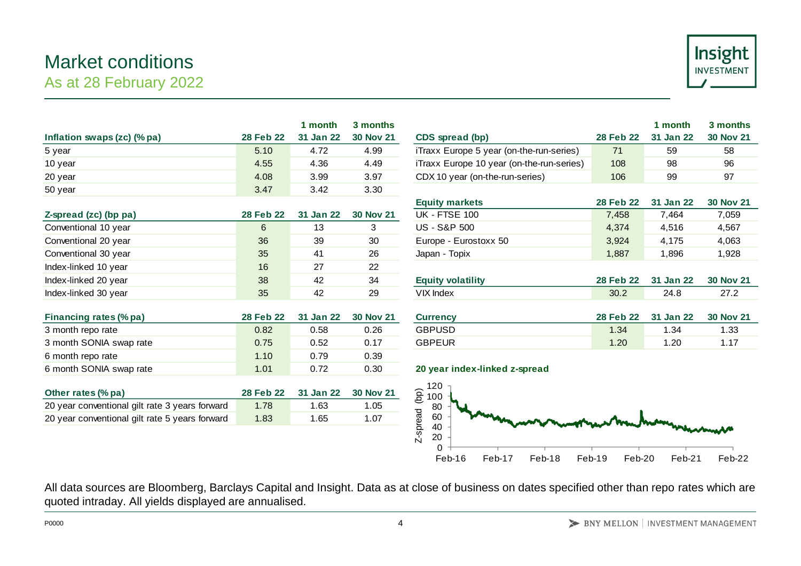## Market conditions As at 28 February 2022



| 31 Jan 22<br>4.72<br>4.36<br>3.99<br>3.42<br>31 Jan 22<br>13<br>39<br>41<br>27 | <b>30 Nov 21</b><br>4.99<br>4.49<br>3.97<br>3.30<br><b>30 Nov 21</b><br>3<br>30<br>26 | CDS spread (bp)<br>iTraxx Europe 5 year (on-the-run-series)<br>iTraxx Europe 10 year (on-the-run-series)<br>CDX 10 year (on-the-run-series)<br><b>Equity markets</b><br><b>UK - FTSE 100</b><br><b>US - S&amp;P 500</b><br>Europe - Eurostoxx 50 | <b>28 Feb 22</b><br>71<br>108<br>106<br><b>28 Feb 22</b><br>7,458<br>4,374 | 31 Jan 22<br>59<br>98<br>99<br>31 Jan 22<br>7,464 | <b>30 Nov 21</b><br>58<br>96<br>97<br><b>30 Nov 21</b><br>7,059                                                                                                  |
|--------------------------------------------------------------------------------|---------------------------------------------------------------------------------------|--------------------------------------------------------------------------------------------------------------------------------------------------------------------------------------------------------------------------------------------------|----------------------------------------------------------------------------|---------------------------------------------------|------------------------------------------------------------------------------------------------------------------------------------------------------------------|
|                                                                                |                                                                                       |                                                                                                                                                                                                                                                  |                                                                            |                                                   |                                                                                                                                                                  |
|                                                                                |                                                                                       |                                                                                                                                                                                                                                                  |                                                                            |                                                   |                                                                                                                                                                  |
|                                                                                |                                                                                       |                                                                                                                                                                                                                                                  |                                                                            |                                                   |                                                                                                                                                                  |
|                                                                                |                                                                                       |                                                                                                                                                                                                                                                  |                                                                            |                                                   |                                                                                                                                                                  |
|                                                                                |                                                                                       |                                                                                                                                                                                                                                                  |                                                                            |                                                   |                                                                                                                                                                  |
|                                                                                |                                                                                       |                                                                                                                                                                                                                                                  |                                                                            |                                                   |                                                                                                                                                                  |
|                                                                                |                                                                                       |                                                                                                                                                                                                                                                  |                                                                            | 4,516                                             | 4,567                                                                                                                                                            |
|                                                                                |                                                                                       |                                                                                                                                                                                                                                                  | 3,924                                                                      | 4,175                                             | 4,063                                                                                                                                                            |
|                                                                                |                                                                                       | Japan - Topix                                                                                                                                                                                                                                    | 1,887                                                                      | 1,896                                             | 1,928                                                                                                                                                            |
|                                                                                | 22                                                                                    |                                                                                                                                                                                                                                                  |                                                                            |                                                   |                                                                                                                                                                  |
| 42                                                                             | 34                                                                                    | <b>Equity volatility</b>                                                                                                                                                                                                                         | 28 Feb 22                                                                  | 31 Jan 22                                         | <b>30 Nov 21</b>                                                                                                                                                 |
| 42                                                                             | 29                                                                                    | VIX Index                                                                                                                                                                                                                                        | 30.2                                                                       | 24.8                                              | 27.2                                                                                                                                                             |
| 31 Jan 22<br>0.58<br>0.52                                                      | <b>30 Nov 21</b><br>0.26<br>0.17                                                      | <b>Currency</b><br><b>GBPUSD</b><br><b>GBPEUR</b>                                                                                                                                                                                                | 28 Feb 22<br>1.34<br>1.20                                                  | 31 Jan 22<br>1.34<br>1.20                         | <b>30 Nov 21</b><br>1.33<br>1.17                                                                                                                                 |
| 0.79                                                                           | 0.39                                                                                  |                                                                                                                                                                                                                                                  |                                                                            |                                                   |                                                                                                                                                                  |
| 0.72                                                                           | 0.30                                                                                  | 20 year index-linked z-spread                                                                                                                                                                                                                    |                                                                            |                                                   |                                                                                                                                                                  |
| 31 Jan 22                                                                      | <b>30 Nov 21</b>                                                                      | 120<br>100                                                                                                                                                                                                                                       |                                                                            |                                                   |                                                                                                                                                                  |
| 1.63                                                                           | 1.05                                                                                  | 80                                                                                                                                                                                                                                               |                                                                            |                                                   |                                                                                                                                                                  |
| 1.65                                                                           | 1.07                                                                                  | 60                                                                                                                                                                                                                                               |                                                                            |                                                   |                                                                                                                                                                  |
|                                                                                |                                                                                       | Z-spread (bp)<br>40<br>20<br>Feb-18<br>Feb-16<br>Feb-17                                                                                                                                                                                          |                                                                            |                                                   | Feb-22                                                                                                                                                           |
|                                                                                |                                                                                       |                                                                                                                                                                                                                                                  |                                                                            | Feb-19                                            | Feb-20<br>Feb-21<br>All data sources are Bloomberg, Barclays Capital and Insight. Data as at close of business on dates specified other than repo rates which ar |

| Financing rates (% pa)  | <b>28 Feb 22</b> | 31 Jan 22 | <b>30 Nov 21</b> | Currencv                      | 28 Feb 22        | 31 Jan 22 | 30 Nov |
|-------------------------|------------------|-----------|------------------|-------------------------------|------------------|-----------|--------|
| 3 month repo rate       | 0.82             | 0.58      | 0.26             | <b>GBPUSD</b>                 | 34. ا            | 1.34      | 1.33   |
| 3 month SONIA swap rate | 0.75             | 0.52      | 0.17             | GBPEUR                        | .20 <sub>1</sub> | 1.20      | l.17   |
| 6 month repo rate       | 1.10             | 0.79      | 0.39             |                               |                  |           |        |
| 6 month SONIA swap rate | 1.01             | 0.72      | 0.30             | 20 year index-linked z-spread |                  |           |        |

| Other rates (% pa)                             | 28 Feb 22 | 31 Jan 22 | 30 Nov 21 |
|------------------------------------------------|-----------|-----------|-----------|
| 20 year conventional gilt rate 3 years forward | 1.78      | 1.63      | 1.05      |
| 20 year conventional gilt rate 5 years forward | 1.83      | 1.65      | 1.07      |

|                                           |           | 1 month             | 3 months         |
|-------------------------------------------|-----------|---------------------|------------------|
| CDS spread (bp)                           |           | 28 Feb 22 31 Jan 22 | <b>30 Nov 21</b> |
| iTraxx Europe 5 year (on-the-run-series)  | 71        | 59                  | 58               |
| iTraxx Europe 10 year (on-the-run-series) | 108       | 98                  | 96               |
| CDX 10 year (on-the-run-series)           | 106       | 99                  | 97               |
|                                           |           |                     |                  |
| <b>Equity markets</b>                     | 28 Feb 22 | 31 Jan 22           | <b>30 Nov 21</b> |
| <b>UK - FTSE 100</b>                      | 7,458     | 7,464               | 7,059            |
| <b>US - S&amp;P 500</b>                   | 4,374     | 4,516               | 4,567            |
| Europe - Eurostoxx 50                     | 3,924     | 4.175               | 4,063            |
| Japan - Topix                             | 1,887     | 1,896               | 1,928            |
|                                           |           |                     |                  |
| <b>Equity volatility</b>                  | 28 Feb 22 | 31 Jan 22           | <b>30 Nov 21</b> |
| VIX Index                                 | 30.2      | 24.8                | 27.2             |
|                                           |           |                     |                  |

| <b>Currency</b> |      | 28 Feb 22 31 Jan 22 | 30 Nov 21 |
|-----------------|------|---------------------|-----------|
| <b>GBPUSD</b>   | 1.34 | 1.34                | 1.33      |
| <b>GBPEUR</b>   | 1.20 | 1.20                | 1 17      |

#### 6 month SONIA swap rate 1.01 0.72 0.30 **20 year index-linked z-spread**